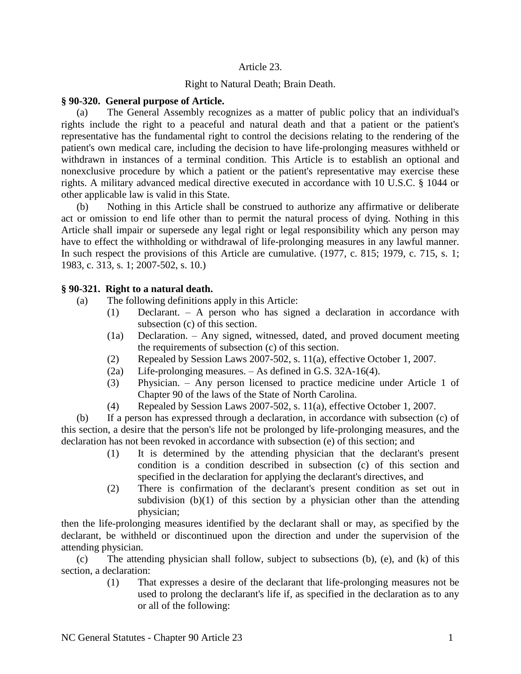#### Article 23.

#### Right to Natural Death; Brain Death.

#### **§ 90-320. General purpose of Article.**

(a) The General Assembly recognizes as a matter of public policy that an individual's rights include the right to a peaceful and natural death and that a patient or the patient's representative has the fundamental right to control the decisions relating to the rendering of the patient's own medical care, including the decision to have life-prolonging measures withheld or withdrawn in instances of a terminal condition. This Article is to establish an optional and nonexclusive procedure by which a patient or the patient's representative may exercise these rights. A military advanced medical directive executed in accordance with 10 U.S.C. § 1044 or other applicable law is valid in this State.

(b) Nothing in this Article shall be construed to authorize any affirmative or deliberate act or omission to end life other than to permit the natural process of dying. Nothing in this Article shall impair or supersede any legal right or legal responsibility which any person may have to effect the withholding or withdrawal of life-prolonging measures in any lawful manner. In such respect the provisions of this Article are cumulative. (1977, c. 815; 1979, c. 715, s. 1; 1983, c. 313, s. 1; 2007-502, s. 10.)

#### **§ 90-321. Right to a natural death.**

- (a) The following definitions apply in this Article:
	- (1) Declarant. A person who has signed a declaration in accordance with subsection (c) of this section.
	- (1a) Declaration. Any signed, witnessed, dated, and proved document meeting the requirements of subsection (c) of this section.
	- (2) Repealed by Session Laws 2007-502, s. 11(a), effective October 1, 2007.
	- (2a) Life-prolonging measures. As defined in G.S. 32A-16(4).
	- (3) Physician. Any person licensed to practice medicine under Article 1 of Chapter 90 of the laws of the State of North Carolina.
	- (4) Repealed by Session Laws 2007-502, s. 11(a), effective October 1, 2007.

(b) If a person has expressed through a declaration, in accordance with subsection (c) of this section, a desire that the person's life not be prolonged by life-prolonging measures, and the declaration has not been revoked in accordance with subsection (e) of this section; and

- (1) It is determined by the attending physician that the declarant's present condition is a condition described in subsection (c) of this section and specified in the declaration for applying the declarant's directives, and
- (2) There is confirmation of the declarant's present condition as set out in subdivision  $(b)(1)$  of this section by a physician other than the attending physician;

then the life-prolonging measures identified by the declarant shall or may, as specified by the declarant, be withheld or discontinued upon the direction and under the supervision of the attending physician.

(c) The attending physician shall follow, subject to subsections (b), (e), and (k) of this section, a declaration:

> (1) That expresses a desire of the declarant that life-prolonging measures not be used to prolong the declarant's life if, as specified in the declaration as to any or all of the following: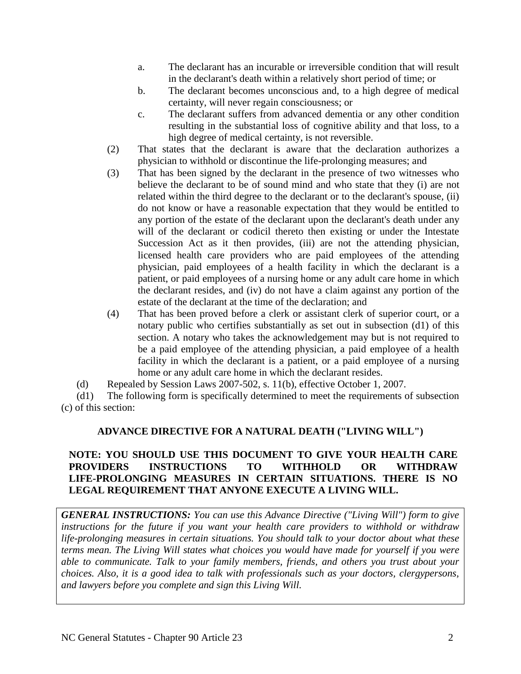- a. The declarant has an incurable or irreversible condition that will result in the declarant's death within a relatively short period of time; or
- b. The declarant becomes unconscious and, to a high degree of medical certainty, will never regain consciousness; or
- c. The declarant suffers from advanced dementia or any other condition resulting in the substantial loss of cognitive ability and that loss, to a high degree of medical certainty, is not reversible.
- (2) That states that the declarant is aware that the declaration authorizes a physician to withhold or discontinue the life-prolonging measures; and
- (3) That has been signed by the declarant in the presence of two witnesses who believe the declarant to be of sound mind and who state that they (i) are not related within the third degree to the declarant or to the declarant's spouse, (ii) do not know or have a reasonable expectation that they would be entitled to any portion of the estate of the declarant upon the declarant's death under any will of the declarant or codicil thereto then existing or under the Intestate Succession Act as it then provides, (iii) are not the attending physician, licensed health care providers who are paid employees of the attending physician, paid employees of a health facility in which the declarant is a patient, or paid employees of a nursing home or any adult care home in which the declarant resides, and (iv) do not have a claim against any portion of the estate of the declarant at the time of the declaration; and
- (4) That has been proved before a clerk or assistant clerk of superior court, or a notary public who certifies substantially as set out in subsection (d1) of this section. A notary who takes the acknowledgement may but is not required to be a paid employee of the attending physician, a paid employee of a health facility in which the declarant is a patient, or a paid employee of a nursing home or any adult care home in which the declarant resides.
- (d) Repealed by Session Laws 2007-502, s. 11(b), effective October 1, 2007.

(d1) The following form is specifically determined to meet the requirements of subsection (c) of this section:

# **ADVANCE DIRECTIVE FOR A NATURAL DEATH ("LIVING WILL")**

## **NOTE: YOU SHOULD USE THIS DOCUMENT TO GIVE YOUR HEALTH CARE PROVIDERS INSTRUCTIONS TO WITHHOLD OR WITHDRAW LIFE-PROLONGING MEASURES IN CERTAIN SITUATIONS. THERE IS NO LEGAL REQUIREMENT THAT ANYONE EXECUTE A LIVING WILL.**

*GENERAL INSTRUCTIONS: You can use this Advance Directive ("Living Will") form to give instructions for the future if you want your health care providers to withhold or withdraw life-prolonging measures in certain situations. You should talk to your doctor about what these terms mean. The Living Will states what choices you would have made for yourself if you were able to communicate. Talk to your family members, friends, and others you trust about your choices. Also, it is a good idea to talk with professionals such as your doctors, clergypersons, and lawyers before you complete and sign this Living Will.*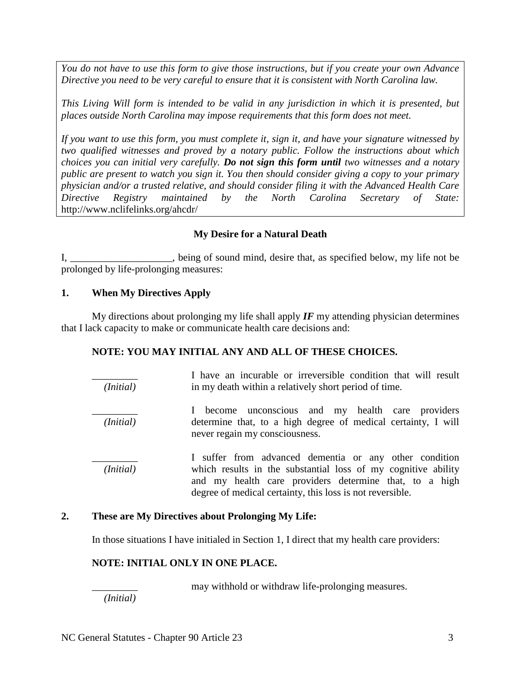*You do not have to use this form to give those instructions, but if you create your own Advance Directive you need to be very careful to ensure that it is consistent with North Carolina law.*

*This Living Will form is intended to be valid in any jurisdiction in which it is presented, but places outside North Carolina may impose requirements that this form does not meet.*

*If you want to use this form, you must complete it, sign it, and have your signature witnessed by two qualified witnesses and proved by a notary public. Follow the instructions about which choices you can initial very carefully. Do not sign this form until two witnesses and a notary public are present to watch you sign it. You then should consider giving a copy to your primary physician and/or a trusted relative, and should consider filing it with the Advanced Health Care Directive Registry maintained by the North Carolina Secretary of State:*  http://www.nclifelinks.org/ahcdr/

## **My Desire for a Natural Death**

I, \_\_\_\_\_\_\_\_\_\_\_\_\_\_\_\_\_\_\_\_, being of sound mind, desire that, as specified below, my life not be prolonged by life-prolonging measures:

### **1. When My Directives Apply**

My directions about prolonging my life shall apply *IF* my attending physician determines that I lack capacity to make or communicate health care decisions and:

## **NOTE: YOU MAY INITIAL ANY AND ALL OF THESE CHOICES.**

| ( <i>Initial</i> ) | I have an incurable or irreversible condition that will result<br>in my death within a relatively short period of time.<br>become unconscious and my health care providers<br>$\mathbf{I}$<br>determine that, to a high degree of medical certainty, I will<br>never regain my consciousness. |  |  |
|--------------------|-----------------------------------------------------------------------------------------------------------------------------------------------------------------------------------------------------------------------------------------------------------------------------------------------|--|--|
| (Initial)          |                                                                                                                                                                                                                                                                                               |  |  |
| (Initial)          | I suffer from advanced dementia or any other condition<br>which results in the substantial loss of my cognitive ability<br>and my health care providers determine that, to a high<br>degree of medical certainty, this loss is not reversible.                                                |  |  |

### **2. These are My Directives about Prolonging My Life:**

In those situations I have initialed in Section 1, I direct that my health care providers:

#### **NOTE: INITIAL ONLY IN ONE PLACE.**

may withhold or withdraw life-prolonging measures.

*(Initial)*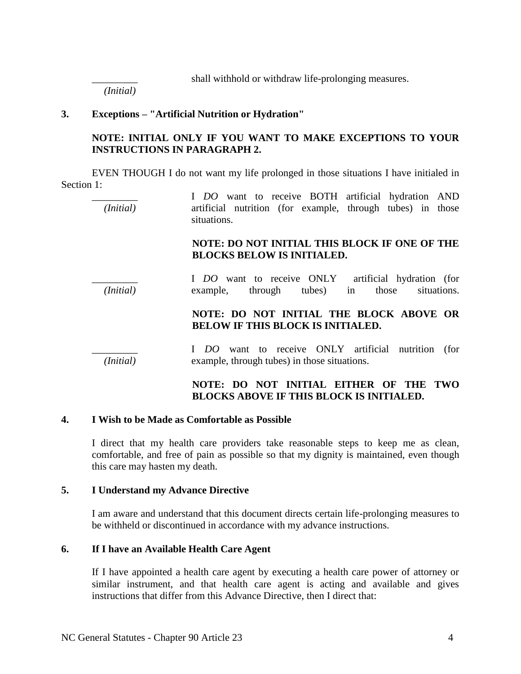shall withhold or withdraw life-prolonging measures.

*(Initial)*

### **3. Exceptions – "Artificial Nutrition or Hydration"**

# **NOTE: INITIAL ONLY IF YOU WANT TO MAKE EXCEPTIONS TO YOUR INSTRUCTIONS IN PARAGRAPH 2.**

EVEN THOUGH I do not want my life prolonged in those situations I have initialed in Section 1:

I *DO* want to receive BOTH artificial hydration AND *(Initial)* artificial nutrition (for example, through tubes) in those situations.

### **NOTE: DO NOT INITIAL THIS BLOCK IF ONE OF THE BLOCKS BELOW IS INITIALED.**

I *DO* want to receive ONLY artificial hydration (for *(Initial)* example, through tubes) in those situations.

### **NOTE: DO NOT INITIAL THE BLOCK ABOVE OR BELOW IF THIS BLOCK IS INITIALED.**

I *DO* want to receive ONLY artificial nutrition (for *(Initial)* example, through tubes) in those situations.

### **NOTE: DO NOT INITIAL EITHER OF THE TWO BLOCKS ABOVE IF THIS BLOCK IS INITIALED.**

#### **4. I Wish to be Made as Comfortable as Possible**

I direct that my health care providers take reasonable steps to keep me as clean, comfortable, and free of pain as possible so that my dignity is maintained, even though this care may hasten my death.

#### **5. I Understand my Advance Directive**

I am aware and understand that this document directs certain life-prolonging measures to be withheld or discontinued in accordance with my advance instructions.

#### **6. If I have an Available Health Care Agent**

If I have appointed a health care agent by executing a health care power of attorney or similar instrument, and that health care agent is acting and available and gives instructions that differ from this Advance Directive, then I direct that: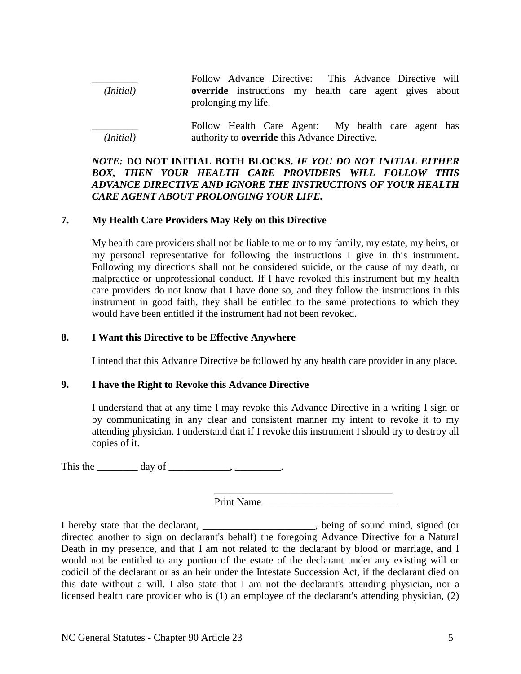Follow Advance Directive: This Advance Directive will *(Initial)* **override** instructions my health care agent gives about prolonging my life.

Follow Health Care Agent: My health care agent has *(Initial)* authority to **override** this Advance Directive.

## *NOTE:* **DO NOT INITIAL BOTH BLOCKS.** *IF YOU DO NOT INITIAL EITHER BOX, THEN YOUR HEALTH CARE PROVIDERS WILL FOLLOW THIS ADVANCE DIRECTIVE AND IGNORE THE INSTRUCTIONS OF YOUR HEALTH CARE AGENT ABOUT PROLONGING YOUR LIFE.*

### **7. My Health Care Providers May Rely on this Directive**

My health care providers shall not be liable to me or to my family, my estate, my heirs, or my personal representative for following the instructions I give in this instrument. Following my directions shall not be considered suicide, or the cause of my death, or malpractice or unprofessional conduct. If I have revoked this instrument but my health care providers do not know that I have done so, and they follow the instructions in this instrument in good faith, they shall be entitled to the same protections to which they would have been entitled if the instrument had not been revoked.

#### **8. I Want this Directive to be Effective Anywhere**

I intend that this Advance Directive be followed by any health care provider in any place.

#### **9. I have the Right to Revoke this Advance Directive**

I understand that at any time I may revoke this Advance Directive in a writing I sign or by communicating in any clear and consistent manner my intent to revoke it to my attending physician. I understand that if I revoke this instrument I should try to destroy all copies of it.

This the  $\_\_\_\_\_\_\$  day of  $\_\_\_\_\_\_\_\_\_\_\_\_\_\_\_\_\_\_\_\_$ 

\_\_\_\_\_\_\_\_\_\_\_\_\_\_\_\_\_\_\_\_\_\_\_\_\_\_\_\_\_\_\_\_\_\_\_ Print Name

I hereby state that the declarant, \_\_\_\_\_\_\_\_\_\_\_\_\_\_\_\_\_\_\_\_\_\_, being of sound mind, signed (or directed another to sign on declarant's behalf) the foregoing Advance Directive for a Natural Death in my presence, and that I am not related to the declarant by blood or marriage, and I would not be entitled to any portion of the estate of the declarant under any existing will or codicil of the declarant or as an heir under the Intestate Succession Act, if the declarant died on this date without a will. I also state that I am not the declarant's attending physician, nor a licensed health care provider who is (1) an employee of the declarant's attending physician, (2)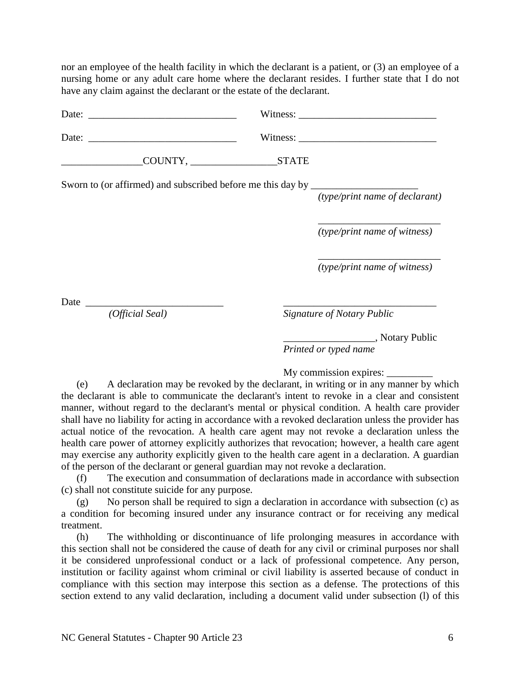nor an employee of the health facility in which the declarant is a patient, or (3) an employee of a nursing home or any adult care home where the declarant resides. I further state that I do not have any claim against the declarant or the estate of the declarant.

|                                                                                   |               | Witness: $\frac{1}{\sqrt{1-\frac{1}{2}}\sqrt{1-\frac{1}{2}}\sqrt{1-\frac{1}{2}}\sqrt{1-\frac{1}{2}}\sqrt{1-\frac{1}{2}}\sqrt{1-\frac{1}{2}}\sqrt{1-\frac{1}{2}}\sqrt{1-\frac{1}{2}}\sqrt{1-\frac{1}{2}}\sqrt{1-\frac{1}{2}}\sqrt{1-\frac{1}{2}}\sqrt{1-\frac{1}{2}}\sqrt{1-\frac{1}{2}}\sqrt{1-\frac{1}{2}}\sqrt{1-\frac{1}{2}}\sqrt{1-\frac{1}{2}}\sqrt{1-\frac{1}{2}}\sqrt{1-\frac{1}{2}}\sqrt{1-\frac{1$ |
|-----------------------------------------------------------------------------------|---------------|-------------------------------------------------------------------------------------------------------------------------------------------------------------------------------------------------------------------------------------------------------------------------------------------------------------------------------------------------------------------------------------------------------------|
|                                                                                   |               |                                                                                                                                                                                                                                                                                                                                                                                                             |
|                                                                                   | COUNTY, STATE |                                                                                                                                                                                                                                                                                                                                                                                                             |
| Sworn to (or affirmed) and subscribed before me this day by _____________________ |               |                                                                                                                                                                                                                                                                                                                                                                                                             |
|                                                                                   |               | (type/print name of declarant)                                                                                                                                                                                                                                                                                                                                                                              |
|                                                                                   |               | (type/print name of witness)                                                                                                                                                                                                                                                                                                                                                                                |
|                                                                                   |               | (type/print name of witness)                                                                                                                                                                                                                                                                                                                                                                                |
| (Official Seal)                                                                   |               | Signature of Notary Public                                                                                                                                                                                                                                                                                                                                                                                  |
|                                                                                   |               |                                                                                                                                                                                                                                                                                                                                                                                                             |
|                                                                                   |               | Notary Public<br>Printed or typed name                                                                                                                                                                                                                                                                                                                                                                      |
|                                                                                   |               | My commission expires:                                                                                                                                                                                                                                                                                                                                                                                      |

(e) A declaration may be revoked by the declarant, in writing or in any manner by which the declarant is able to communicate the declarant's intent to revoke in a clear and consistent manner, without regard to the declarant's mental or physical condition. A health care provider shall have no liability for acting in accordance with a revoked declaration unless the provider has actual notice of the revocation. A health care agent may not revoke a declaration unless the health care power of attorney explicitly authorizes that revocation; however, a health care agent may exercise any authority explicitly given to the health care agent in a declaration. A guardian of the person of the declarant or general guardian may not revoke a declaration.

(f) The execution and consummation of declarations made in accordance with subsection (c) shall not constitute suicide for any purpose.

(g) No person shall be required to sign a declaration in accordance with subsection (c) as a condition for becoming insured under any insurance contract or for receiving any medical treatment.

(h) The withholding or discontinuance of life prolonging measures in accordance with this section shall not be considered the cause of death for any civil or criminal purposes nor shall it be considered unprofessional conduct or a lack of professional competence. Any person, institution or facility against whom criminal or civil liability is asserted because of conduct in compliance with this section may interpose this section as a defense. The protections of this section extend to any valid declaration, including a document valid under subsection (l) of this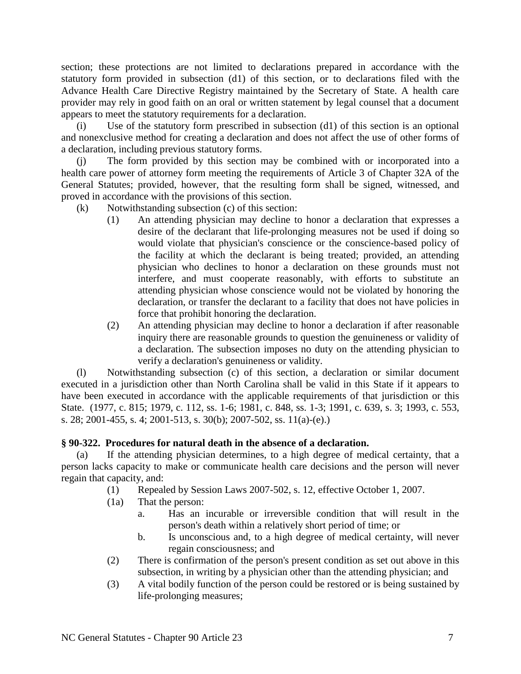section; these protections are not limited to declarations prepared in accordance with the statutory form provided in subsection (d1) of this section, or to declarations filed with the Advance Health Care Directive Registry maintained by the Secretary of State. A health care provider may rely in good faith on an oral or written statement by legal counsel that a document appears to meet the statutory requirements for a declaration.

(i) Use of the statutory form prescribed in subsection (d1) of this section is an optional and nonexclusive method for creating a declaration and does not affect the use of other forms of a declaration, including previous statutory forms.

(j) The form provided by this section may be combined with or incorporated into a health care power of attorney form meeting the requirements of Article 3 of Chapter 32A of the General Statutes; provided, however, that the resulting form shall be signed, witnessed, and proved in accordance with the provisions of this section.

(k) Notwithstanding subsection (c) of this section:

- (1) An attending physician may decline to honor a declaration that expresses a desire of the declarant that life-prolonging measures not be used if doing so would violate that physician's conscience or the conscience-based policy of the facility at which the declarant is being treated; provided, an attending physician who declines to honor a declaration on these grounds must not interfere, and must cooperate reasonably, with efforts to substitute an attending physician whose conscience would not be violated by honoring the declaration, or transfer the declarant to a facility that does not have policies in force that prohibit honoring the declaration.
- (2) An attending physician may decline to honor a declaration if after reasonable inquiry there are reasonable grounds to question the genuineness or validity of a declaration. The subsection imposes no duty on the attending physician to verify a declaration's genuineness or validity.

(l) Notwithstanding subsection (c) of this section, a declaration or similar document executed in a jurisdiction other than North Carolina shall be valid in this State if it appears to have been executed in accordance with the applicable requirements of that jurisdiction or this State. (1977, c. 815; 1979, c. 112, ss. 1-6; 1981, c. 848, ss. 1-3; 1991, c. 639, s. 3; 1993, c. 553, s. 28; 2001-455, s. 4; 2001-513, s. 30(b); 2007-502, ss. 11(a)-(e).)

## **§ 90-322. Procedures for natural death in the absence of a declaration.**

(a) If the attending physician determines, to a high degree of medical certainty, that a person lacks capacity to make or communicate health care decisions and the person will never regain that capacity, and:

- (1) Repealed by Session Laws 2007-502, s. 12, effective October 1, 2007.
- (1a) That the person:
	- a. Has an incurable or irreversible condition that will result in the person's death within a relatively short period of time; or
	- b. Is unconscious and, to a high degree of medical certainty, will never regain consciousness; and
- (2) There is confirmation of the person's present condition as set out above in this subsection, in writing by a physician other than the attending physician; and
- (3) A vital bodily function of the person could be restored or is being sustained by life-prolonging measures;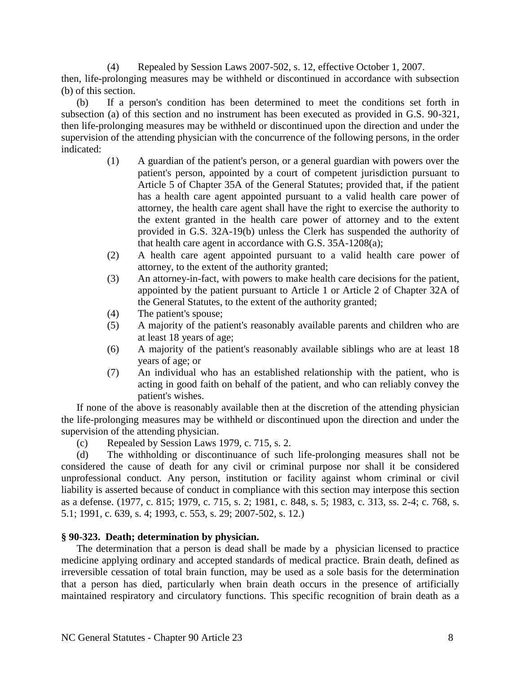(4) Repealed by Session Laws 2007-502, s. 12, effective October 1, 2007. then, life-prolonging measures may be withheld or discontinued in accordance with subsection (b) of this section.

(b) If a person's condition has been determined to meet the conditions set forth in subsection (a) of this section and no instrument has been executed as provided in G.S. 90-321, then life-prolonging measures may be withheld or discontinued upon the direction and under the supervision of the attending physician with the concurrence of the following persons, in the order indicated:

- (1) A guardian of the patient's person, or a general guardian with powers over the patient's person, appointed by a court of competent jurisdiction pursuant to Article 5 of Chapter 35A of the General Statutes; provided that, if the patient has a health care agent appointed pursuant to a valid health care power of attorney, the health care agent shall have the right to exercise the authority to the extent granted in the health care power of attorney and to the extent provided in G.S. 32A-19(b) unless the Clerk has suspended the authority of that health care agent in accordance with G.S. 35A-1208(a);
- (2) A health care agent appointed pursuant to a valid health care power of attorney, to the extent of the authority granted;
- (3) An attorney-in-fact, with powers to make health care decisions for the patient, appointed by the patient pursuant to Article 1 or Article 2 of Chapter 32A of the General Statutes, to the extent of the authority granted;
- (4) The patient's spouse;
- (5) A majority of the patient's reasonably available parents and children who are at least 18 years of age;
- (6) A majority of the patient's reasonably available siblings who are at least 18 years of age; or
- (7) An individual who has an established relationship with the patient, who is acting in good faith on behalf of the patient, and who can reliably convey the patient's wishes.

If none of the above is reasonably available then at the discretion of the attending physician the life-prolonging measures may be withheld or discontinued upon the direction and under the supervision of the attending physician.

(c) Repealed by Session Laws 1979, c. 715, s. 2.

(d) The withholding or discontinuance of such life-prolonging measures shall not be considered the cause of death for any civil or criminal purpose nor shall it be considered unprofessional conduct. Any person, institution or facility against whom criminal or civil liability is asserted because of conduct in compliance with this section may interpose this section as a defense. (1977, c. 815; 1979, c. 715, s. 2; 1981, c. 848, s. 5; 1983, c. 313, ss. 2-4; c. 768, s. 5.1; 1991, c. 639, s. 4; 1993, c. 553, s. 29; 2007-502, s. 12.)

#### **§ 90-323. Death; determination by physician.**

The determination that a person is dead shall be made by a physician licensed to practice medicine applying ordinary and accepted standards of medical practice. Brain death, defined as irreversible cessation of total brain function, may be used as a sole basis for the determination that a person has died, particularly when brain death occurs in the presence of artificially maintained respiratory and circulatory functions. This specific recognition of brain death as a